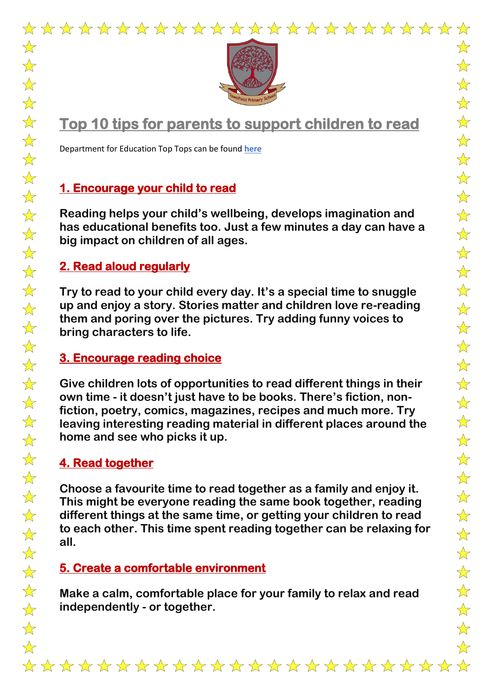



# **Top 10 tips for parents to support children to read**

Department for Education Top Tops can be found **[here](https://www.gov.uk/government/publications/10-top-tips-to-encourage-children-to-read/10-top-tips-to-encourage-children-to-read)**

# **1. Encourage your child to read**

**Reading helps your child's wellbeing, develops imagination and has educational benefits too. Just a few minutes a day can have a big impact on children of all ages.**

### **2. Read aloud regularly**

**Try to read to your child every day. It's a special time to snuggle up and enjoy a story. Stories matter and children love re-reading them and poring over the pictures. Try adding funny voices to bring characters to life.**

### **3. Encourage reading choice**

**Give children lots of opportunities to read different things in their own time - it doesn't just have to be books. There's fiction, nonfiction, poetry, comics, magazines, recipes and much more. Try leaving interesting reading material in different places around the home and see who picks it up.**

### **4. Read together**

**Choose a favourite time to read together as a family and enjoy it. This might be everyone reading the same book together, reading different things at the same time, or getting your children to read to each other. This time spent reading together can be relaxing for all.**

### **5. Create a comfortable environment**

**Make a calm, comfortable place for your family to relax and read independently - or together.**

 $\frac{1}{2}$